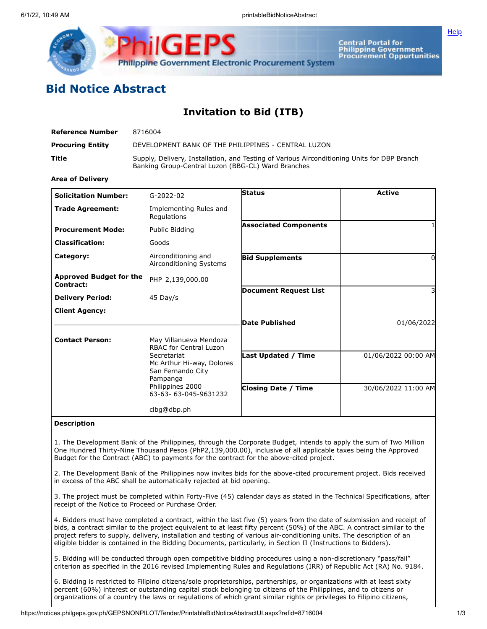

Central Portal for<br>Philippine Government<br>Procurement Oppurtunities

**[Help](javascript:void(window.open()** 

## **Bid Notice Abstract**

## **Invitation to Bid (ITB)**

| Reference Number        | 8716004                                                                                                                                           |
|-------------------------|---------------------------------------------------------------------------------------------------------------------------------------------------|
| <b>Procuring Entity</b> | DEVELOPMENT BANK OF THE PHILIPPINES - CENTRAL LUZON                                                                                               |
| Title                   | Supply, Delivery, Installation, and Testing of Various Airconditioning Units for DBP Branch<br>Banking Group-Central Luzon (BBG-CL) Ward Branches |

## **Area of Delivery**

| <b>Solicitation Number:</b>                 | $G-2022-02$                                                               | <b>Status</b>                | <b>Active</b>       |
|---------------------------------------------|---------------------------------------------------------------------------|------------------------------|---------------------|
| <b>Trade Agreement:</b>                     | Implementing Rules and<br>Regulations                                     |                              |                     |
| <b>Procurement Mode:</b>                    | Public Bidding                                                            | <b>Associated Components</b> |                     |
| <b>Classification:</b>                      | Goods                                                                     |                              |                     |
| Category:                                   | Airconditioning and<br>Airconditioning Systems                            | <b>Bid Supplements</b>       | 0                   |
| <b>Approved Budget for the</b><br>Contract: | PHP 2,139,000.00                                                          |                              |                     |
| <b>Delivery Period:</b>                     | 45 Day/s                                                                  | <b>Document Request List</b> | 3                   |
| <b>Client Agency:</b>                       |                                                                           |                              |                     |
|                                             |                                                                           | <b>Date Published</b>        | 01/06/2022          |
| <b>Contact Person:</b>                      | May Villanueva Mendoza<br><b>RBAC for Central Luzon</b>                   |                              |                     |
|                                             | Secretariat<br>Mc Arthur Hi-way, Dolores<br>San Fernando City<br>Pampanga | <b>Last Updated / Time</b>   | 01/06/2022 00:00 AM |
|                                             | Philippines 2000<br>63-63-63-045-9631232                                  | <b>Closing Date / Time</b>   | 30/06/2022 11:00 AM |
|                                             | clbg@dbp.ph                                                               |                              |                     |

## **Description**

1. The Development Bank of the Philippines, through the Corporate Budget, intends to apply the sum of Two Million One Hundred Thirty-Nine Thousand Pesos (PhP2,139,000.00), inclusive of all applicable taxes being the Approved Budget for the Contract (ABC) to payments for the contract for the above-cited project.

2. The Development Bank of the Philippines now invites bids for the above-cited procurement project. Bids received in excess of the ABC shall be automatically rejected at bid opening.

3. The project must be completed within Forty-Five (45) calendar days as stated in the Technical Specifications, after receipt of the Notice to Proceed or Purchase Order.

4. Bidders must have completed a contract, within the last five (5) years from the date of submission and receipt of bids, a contract similar to the project equivalent to at least fifty percent (50%) of the ABC. A contract similar to the project refers to supply, delivery, installation and testing of various air-conditioning units. The description of an eligible bidder is contained in the Bidding Documents, particularly, in Section II (Instructions to Bidders).

5. Bidding will be conducted through open competitive bidding procedures using a non-discretionary "pass/fail" criterion as specified in the 2016 revised Implementing Rules and Regulations (IRR) of Republic Act (RA) No. 9184.

6. Bidding is restricted to Filipino citizens/sole proprietorships, partnerships, or organizations with at least sixty percent (60%) interest or outstanding capital stock belonging to citizens of the Philippines, and to citizens or organizations of a country the laws or regulations of which grant similar rights or privileges to Filipino citizens,